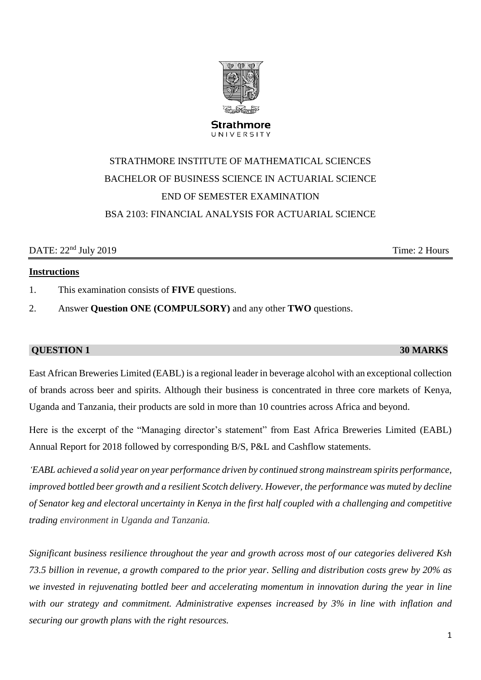# STRATHMORE INSTITUTE OF MATHEMATICAL SCIENCES BACHELOR OF BUSINESS SCIENCE IN ACTUARIAL SCIENCE END OF SEMESTER EXAMINATION BSA 2103: FINANCIAL ANALYSIS FOR ACTUARIAL SCIENCE

#### DATE:  $22<sup>nd</sup> July 2019$  Time: 2 Hours

## **Instructions**

- 1. This examination consists of **FIVE** questions.
- 2. Answer **Question ONE (COMPULSORY)** and any other **TWO** questions.

### **QUESTION 1 30 MARKS**

East African Breweries Limited (EABL) is a regional leader in beverage alcohol with an exceptional collection of brands across beer and spirits. Although their business is concentrated in three core markets of Kenya, Uganda and Tanzania, their products are sold in more than 10 countries across Africa and beyond.

Here is the excerpt of the "Managing director's statement" from East Africa Breweries Limited (EABL) Annual Report for 2018 followed by corresponding B/S, P&L and Cashflow statements.

*'EABL achieved a solid year on year performance driven by continued strong mainstream spirits performance, improved bottled beer growth and a resilient Scotch delivery. However, the performance was muted by decline of Senator keg and electoral uncertainty in Kenya in the first half coupled with a challenging and competitive trading environment in Uganda and Tanzania.*

*Significant business resilience throughout the year and growth across most of our categories delivered Ksh 73.5 billion in revenue, a growth compared to the prior year. Selling and distribution costs grew by 20% as we invested in rejuvenating bottled beer and accelerating momentum in innovation during the year in line with our strategy and commitment. Administrative expenses increased by 3% in line with inflation and securing our growth plans with the right resources.* 

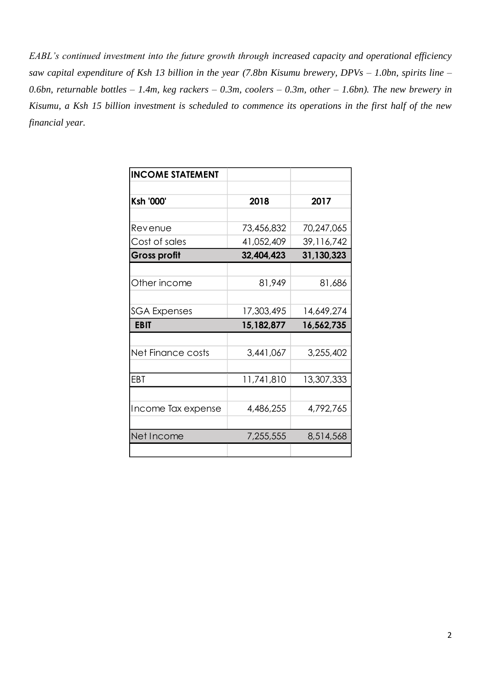*EABL's continued investment into the future growth through increased capacity and operational efficiency saw capital expenditure of Ksh 13 billion in the year (7.8bn Kisumu brewery, DPVs – 1.0bn, spirits line – 0.6bn, returnable bottles – 1.4m, keg rackers – 0.3m, coolers – 0.3m, other – 1.6bn). The new brewery in Kisumu, a Ksh 15 billion investment is scheduled to commence its operations in the first half of the new financial year.*

| <b>INCOME STATEMENT</b> |            |            |
|-------------------------|------------|------------|
|                         |            |            |
| <b>Ksh '000'</b>        | 2018       | 2017       |
|                         |            |            |
| Revenue                 | 73,456,832 | 70,247,065 |
| Cost of sales           | 41,052,409 | 39,116,742 |
| <b>Gross profit</b>     | 32,404,423 | 31,130,323 |
|                         |            |            |
| Other income            | 81,949     | 81,686     |
|                         |            |            |
| SGA Expenses            | 17,303,495 | 14,649,274 |
| <b>EBIT</b>             | 15,182,877 | 16,562,735 |
|                         |            |            |
| Net Finance costs       | 3,441,067  | 3,255,402  |
|                         |            |            |
| EBT                     | 11,741,810 | 13,307,333 |
|                         |            |            |
| Income Tax expense      | 4,486,255  | 4,792,765  |
|                         |            |            |
| Net Income              | 7,255,555  | 8,514,568  |
|                         |            |            |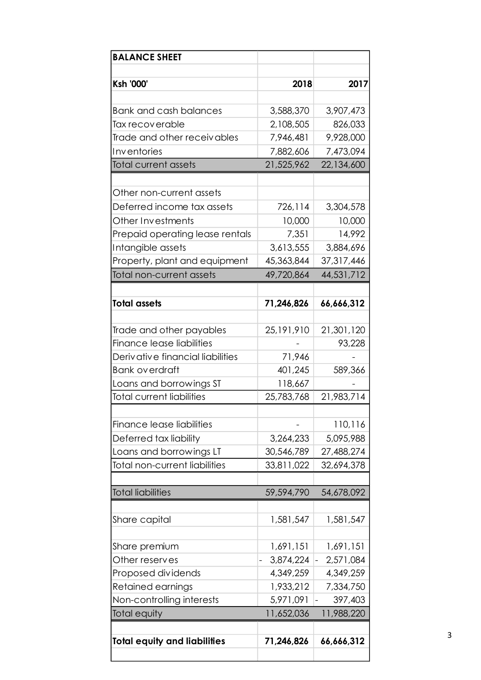| <b>BALANCE SHEET</b>                 |            |                             |
|--------------------------------------|------------|-----------------------------|
|                                      |            |                             |
| Ksh '000'                            | 2018       | 2017                        |
| <b>Bank and cash balances</b>        | 3,588,370  | 3,907,473                   |
| Tax recoverable                      | 2,108,505  | 826,033                     |
| Trade and other receivables          | 7,946,481  | 9,928,000                   |
| Inventories                          | 7,882,606  | 7,473,094                   |
| <b>Total current assets</b>          | 21,525,962 | 22,134,600                  |
|                                      |            |                             |
| Other non-current assets             |            |                             |
| Deferred income tax assets           | 726,114    | 3,304,578                   |
| Other Investments                    | 10,000     | 10,000                      |
| Prepaid operating lease rentals      | 7,351      | 14,992                      |
| Intangible assets                    | 3,613,555  | 3,884,696                   |
| Property, plant and equipment        | 45,363,844 | 37,317,446                  |
| Total non-current assets             | 49,720,864 | 44,531,712                  |
|                                      |            |                             |
| <b>Total assets</b>                  | 71,246,826 | 66,666,312                  |
|                                      |            |                             |
| Trade and other payables             | 25,191,910 | 21,301,120                  |
| Finance lease liabilities            |            | 93,228                      |
| Derivative financial liabilities     | 71,946     |                             |
| <b>Bank overdraft</b>                | 401,245    | 589,366                     |
| Loans and borrowings ST              | 118,667    |                             |
| <b>Total current liabilities</b>     | 25,783,768 | 21,983,714                  |
|                                      |            |                             |
| Finance lease liabilities            |            | 110,116                     |
| Deferred tax liability               | 3,264,233  | 5,095,988                   |
| Loans and borrowings LT              | 30,546,789 | 27,488,274                  |
| <b>Total non-current liabilities</b> | 33,811,022 | 32,694,378                  |
|                                      |            |                             |
| <b>Total liabilities</b>             | 59,594,790 | 54,678,092                  |
|                                      | 1,581,547  | 1,581,547                   |
| Share capital                        |            |                             |
| Share premium                        | 1,691,151  | 1,691,151                   |
| Other reserves                       | 3,874,224  | 2,571,084<br>$\blacksquare$ |
| Proposed dividends                   | 4,349,259  | 4,349,259                   |
| Retained earnings                    | 1,933,212  | 7,334,750                   |
| Non-controlling interests            | 5,971,091  | 397,403                     |
| Total equity                         | 11,652,036 | 11,988,220                  |
|                                      |            |                             |
| <b>Total equity and liabilities</b>  | 71,246,826 | 66,666,312                  |
|                                      |            |                             |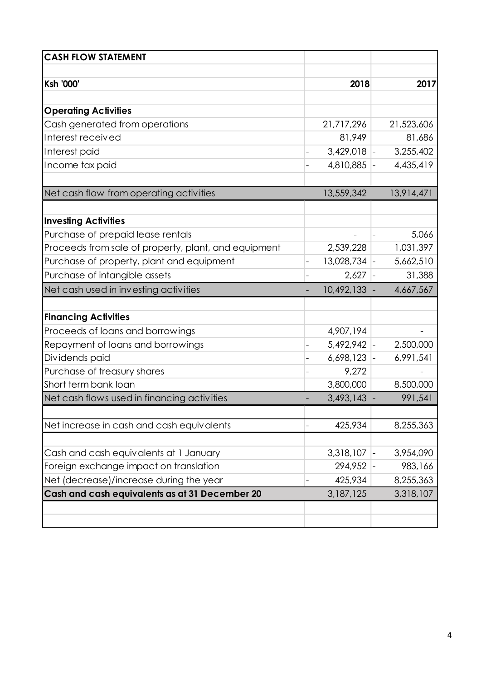| <b>CASH FLOW STATEMENT</b>                           |                |            |
|------------------------------------------------------|----------------|------------|
|                                                      |                |            |
| <b>Ksh '000'</b>                                     | 2018           | 2017       |
|                                                      |                |            |
| <b>Operating Activities</b>                          |                |            |
| Cash generated from operations                       | 21,717,296     | 21,523,606 |
| Interest received                                    | 81,949         | 81,686     |
| Interest paid                                        | 3,429,018      | 3,255,402  |
| Income tax paid                                      | 4,810,885      | 4,435,419  |
| Net cash flow from operating activities              | 13,559,342     | 13,914,471 |
|                                                      |                |            |
| <b>Investing Activities</b>                          |                |            |
| Purchase of prepaid lease rentals                    |                | 5,066      |
| Proceeds from sale of property, plant, and equipment | 2,539,228      | 1,031,397  |
| Purchase of property, plant and equipment            | $13,028,734$ - | 5,662,510  |
| Purchase of intangible assets                        | 2,627          | 31,388     |
| Net cash used in investing activities                | 10,492,133 -   | 4,667,567  |
|                                                      |                |            |
| <b>Financing Activities</b>                          |                |            |
| Proceeds of loans and borrowings                     | 4,907,194      |            |
| Repayment of loans and borrowings                    | 5,492,942      | 2,500,000  |
| Dividends paid                                       | 6,698,123      | 6,991,541  |
| Purchase of treasury shares                          | 9,272          |            |
| Short term bank loan                                 | 3,800,000      | 8,500,000  |
| Net cash flows used in financing activities          | 3,493,143      | 991,541    |
| Net increase in cash and cash equivalents            | 425,934        | 8,255,363  |
|                                                      |                |            |
| Cash and cash equivalents at 1 January               | 3,318,107      | 3,954,090  |
| Foreign exchange impact on translation               | 294,952        | 983,166    |
| Net (decrease)/increase during the year              | 425,934        | 8,255,363  |
| Cash and cash equivalents as at 31 December 20       | 3,187,125      | 3,318,107  |
|                                                      |                |            |
|                                                      |                |            |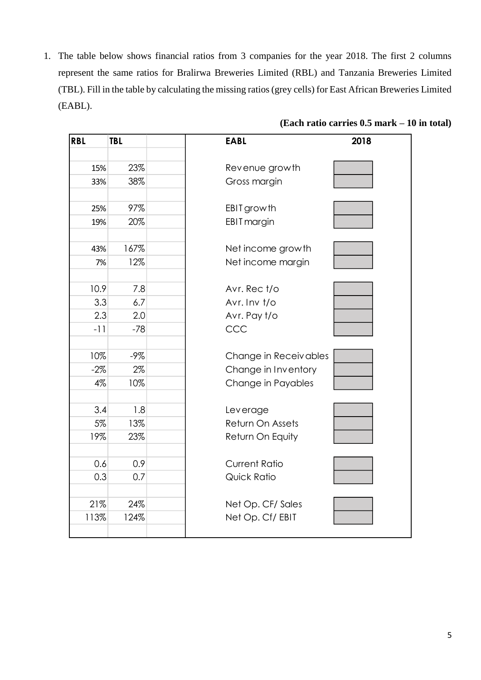1. The table below shows financial ratios from 3 companies for the year 2018. The first 2 columns represent the same ratios for Bralirwa Breweries Limited (RBL) and Tanzania Breweries Limited (TBL). Fill in the table by calculating the missing ratios (grey cells) for East African Breweries Limited (EABL).

| <b>RBL</b> | <b>TBL</b> | <b>EABL</b>           | 2018 |
|------------|------------|-----------------------|------|
|            |            |                       |      |
| 15%        | 23%        | Revenue growth        |      |
| 33%        | 38%        | Gross margin          |      |
|            |            |                       |      |
| 25%        | 97%        | EBIT growth           |      |
| 19%        | 20%        | EBIT margin           |      |
|            |            |                       |      |
| 43%        | 167%       | Net income growth     |      |
| 7%         | 12%        | Net income margin     |      |
|            |            |                       |      |
| 10.9       | 7.8        | Avr. Rec t/o          |      |
| 3.3        | 6.7        | Avr. Inv t/o          |      |
| 2.3        | 2.0        | Avr. Pay t/o          |      |
| $-11$      | $-78$      | CCC                   |      |
|            |            |                       |      |
| 10%        | $-9\%$     | Change in Receivables |      |
| $-2\%$     | 2%         | Change in Inventory   |      |
| 4%         | 10%        | Change in Payables    |      |
|            |            |                       |      |
| 3.4        | 1.8        | Leverage              |      |
| 5%         | 13%        | Return On Assets      |      |
| 19%        | 23%        | Return On Equity      |      |
|            |            |                       |      |
| 0.6        | 0.9        | <b>Current Ratio</b>  |      |
| 0.3        | 0.7        | Quick Ratio           |      |
|            |            |                       |      |
| 21%        | 24%        | Net Op. CF/ Sales     |      |
| 113%       | 124%       | Net Op. Cf/EBIT       |      |
|            |            |                       |      |

### **(Each ratio carries 0.5 mark – 10 in total)**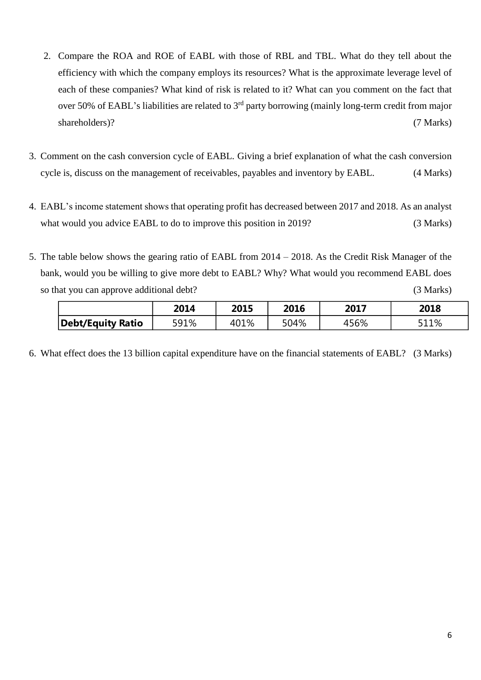- 2. Compare the ROA and ROE of EABL with those of RBL and TBL. What do they tell about the efficiency with which the company employs its resources? What is the approximate leverage level of each of these companies? What kind of risk is related to it? What can you comment on the fact that over 50% of EABL's liabilities are related to 3<sup>rd</sup> party borrowing (mainly long-term credit from major shareholders)? (7 Marks)
- 3. Comment on the cash conversion cycle of EABL. Giving a brief explanation of what the cash conversion cycle is, discuss on the management of receivables, payables and inventory by EABL. (4 Marks)
- 4. EABL's income statement shows that operating profit has decreased between 2017 and 2018. As an analyst what would you advice EABL to do to improve this position in 2019? (3 Marks)
- 5. The table below shows the gearing ratio of EABL from 2014 2018. As the Credit Risk Manager of the bank, would you be willing to give more debt to EABL? Why? What would you recommend EABL does so that you can approve additional debt? (3 Marks)

|                   | 2014 | 2015 | 2016 | 2017 | 2018 |
|-------------------|------|------|------|------|------|
| Debt/Equity Ratio | 591% | 401% | 504% | 456% | 511% |

6. What effect does the 13 billion capital expenditure have on the financial statements of EABL? (3 Marks)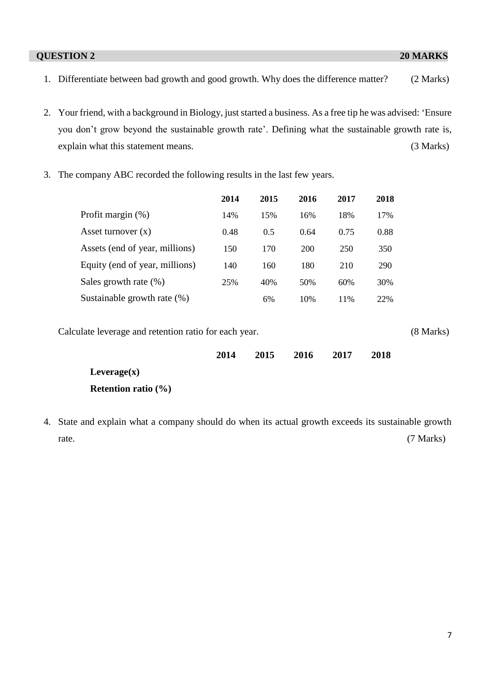### **QUESTION 2 20 MARKS**

- 1. Differentiate between bad growth and good growth. Why does the difference matter? (2 Marks)
- 2. Your friend, with a background in Biology, just started a business. As a free tip he was advised: 'Ensure you don't grow beyond the sustainable growth rate'. Defining what the sustainable growth rate is, explain what this statement means. (3 Marks)
- 3. The company ABC recorded the following results in the last few years.

|                                                       | 2014 | 2015 | 2016       | 2017 | 2018 |             |
|-------------------------------------------------------|------|------|------------|------|------|-------------|
| Profit margin $(\%)$                                  | 14%  | 15%  | 16%        | 18%  | 17%  |             |
| Asset turnover $(x)$                                  | 0.48 | 0.5  | 0.64       | 0.75 | 0.88 |             |
| Assets (end of year, millions)                        | 150  | 170  | <b>200</b> | 250  | 350  |             |
| Equity (end of year, millions)                        | 140  | 160  | 180        | 210  | 290  |             |
| Sales growth rate $(\%)$                              | 25%  | 40%  | 50%        | 60%  | 30%  |             |
| Sustainable growth rate (%)                           |      | 6%   | 10%        | 11%  | 22%  |             |
| Calculate leverage and retention ratio for each year. |      |      |            |      |      | $(8$ Marks) |
|                                                       | 2014 | 2015 | 2016       | 2017 | 2018 |             |
| Leverage(x)                                           |      |      |            |      |      |             |
| Retention ratio $(\% )$                               |      |      |            |      |      |             |

4. State and explain what a company should do when its actual growth exceeds its sustainable growth rate. (7 Marks)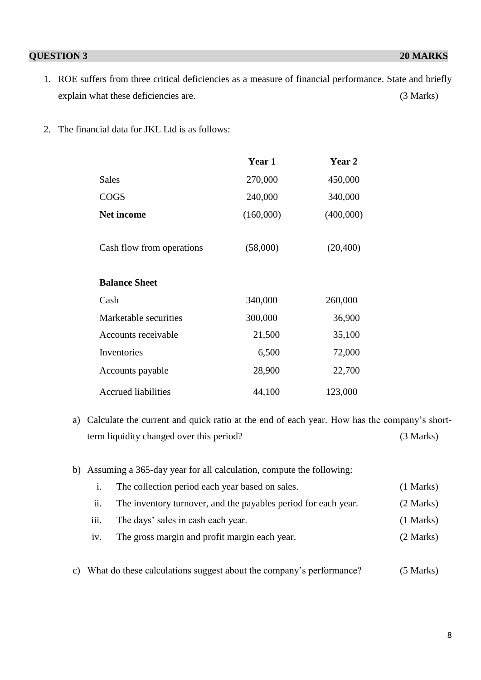### **QUESTION 3 20 MARKS**

- 1. ROE suffers from three critical deficiencies as a measure of financial performance. State and briefly explain what these deficiencies are. (3 Marks)
- 2. The financial data for JKL Ltd is as follows:

|                            | <b>Year 1</b> | Year 2    |
|----------------------------|---------------|-----------|
| <b>Sales</b>               | 270,000       | 450,000   |
| <b>COGS</b>                | 240,000       | 340,000   |
| <b>Net income</b>          | (160,000)     | (400,000) |
| Cash flow from operations  | (58,000)      | (20, 400) |
| <b>Balance Sheet</b>       |               |           |
| Cash                       | 340,000       | 260,000   |
| Marketable securities      | 300,000       | 36,900    |
| Accounts receivable        | 21,500        | 35,100    |
| Inventories                | 6,500         | 72,000    |
| Accounts payable           | 28,900        | 22,700    |
| <b>Accrued liabilities</b> | 44,100        | 123,000   |

- a) Calculate the current and quick ratio at the end of each year. How has the company's shortterm liquidity changed over this period? (3 Marks)
- b) Assuming a 365-day year for all calculation, compute the following:

|      | The collection period each year based on sales.                | $(1$ Marks) |
|------|----------------------------------------------------------------|-------------|
| 11.  | The inventory turnover, and the payables period for each year. | (2 Marks)   |
| iii. | The days' sales in cash each year.                             | $(1$ Marks) |
| iv.  | The gross margin and profit margin each year.                  | (2 Marks)   |

c) What do these calculations suggest about the company's performance? (5 Marks)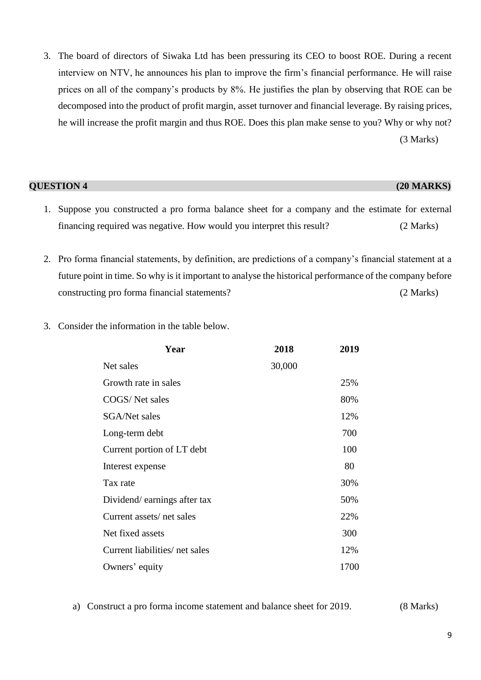3. The board of directors of Siwaka Ltd has been pressuring its CEO to boost ROE. During a recent interview on NTV, he announces his plan to improve the firm's financial performance. He will raise prices on all of the company's products by 8%. He justifies the plan by observing that ROE can be decomposed into the product of profit margin, asset turnover and financial leverage. By raising prices, he will increase the profit margin and thus ROE. Does this plan make sense to you? Why or why not? (3 Marks)

| <b>QUESTION 4</b> | $(20$ MARKS) |
|-------------------|--------------|

- 1. Suppose you constructed a pro forma balance sheet for a company and the estimate for external financing required was negative. How would you interpret this result? (2 Marks)
- 2. Pro forma financial statements, by definition, are predictions of a company's financial statement at a future point in time. So why is it important to analyse the historical performance of the company before constructing pro forma financial statements? (2 Marks)
- 3. Consider the information in the table below.

| 2018   | 2019 |
|--------|------|
| 30,000 |      |
|        | 25%  |
|        | 80%  |
|        | 12%  |
|        | 700  |
|        | 100  |
|        | 80   |
|        | 30%  |
|        | 50%  |
|        | 22%  |
|        | 300  |
|        | 12%  |
|        | 1700 |
|        |      |

a) Construct a pro forma income statement and balance sheet for 2019. (8 Marks)